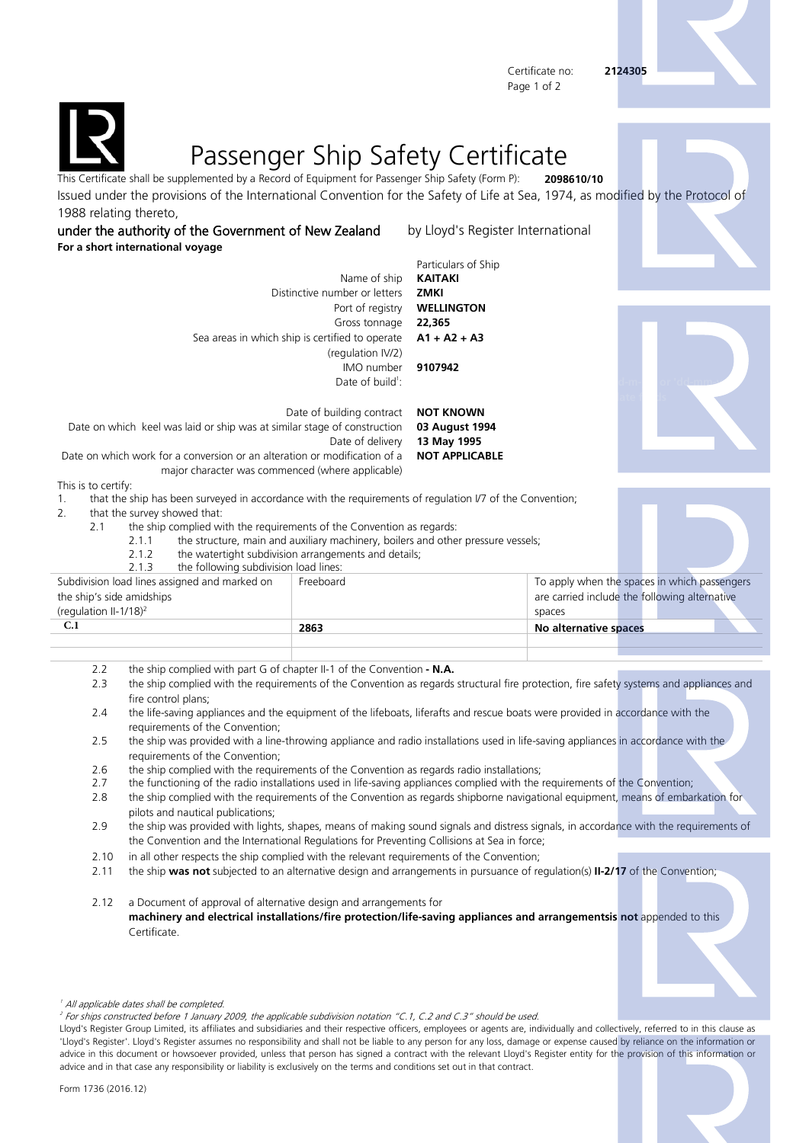Certificate no: **2124305** Page 1 of 2

**dimension in the fields** 





## Passenger Ship Safety Certificate

This Certificate shall be supplemented by a Record of Equipment for Passenger Ship Safety (Form P): **2098610/10** Issued under the provisions of the International Convention for the Safety of Life at Sea, 1974, as modified by the Protocol of 1988 relating thereto,

under the authority of the Government of New Zealand by Lloyd's Register International **For a short international voyage**

Particulars of Ship Name of ship **KAITAKI** Distinctive number or letters **ZMKI** Port of registry **WELLINGTON** Gross tonnage **22,365** Sea areas in which ship is certified to operate (regulation IV/2) **A1 + A2 + A3** IMO number **9107942** Date of build $1$ : : **Kindly enter date in following format: 'd-m-yy' or 'dd-mm-yyyy'** 

Date of building contract **NOT KNOWN** Date on which keel was laid or ship was at similar stage of construction **03 August 1994** Date of delivery **13 May 1995** Date on which work for a conversion or an alteration or modification of a **NOT APPLICABLE**

major character was commenced (where applicable)

This is to certify:

1. that the ship has been surveyed in accordance with the requirements of regulation I/7 of the Convention;

2. that the survey showed that:

2.1 the ship complied with the requirements of the Convention as regards:

- 2.1.1 the structure, main and auxiliary machinery, boilers and other pressure vessels;
- 2.1.2 the watertight subdivision arrangements and details;

| the following subdivision load lines:<br>2.1.3 |           |                       |                                               |  |
|------------------------------------------------|-----------|-----------------------|-----------------------------------------------|--|
| Subdivision load lines assigned and marked on  | Freeboard |                       | To apply when the spaces in which passengers  |  |
| the ship's side amidships                      |           |                       | are carried include the following alternative |  |
| (regulation II-1/18) <sup>2</sup>              |           | spaces                |                                               |  |
| C.1                                            | 2863      | No alternative spaces |                                               |  |
|                                                |           |                       |                                               |  |
|                                                |           |                       |                                               |  |

- 2.2 the ship complied with part G of chapter II-1 of the Convention  **N.A.**
- 2.3 the ship complied with the requirements of the Convention as regards structural fire protection, fire safety systems and appliances and fire control plans;
- 2.4 the life-saving appliances and the equipment of the lifeboats, liferafts and rescue boats were provided in accordance with the requirements of the Convention;
- 2.5 the ship was provided with a line-throwing appliance and radio installations used in life-saving appliances in accordance with the requirements of the Convention;
- 2.6 the ship complied with the requirements of the Convention as regards radio installations;
- 2.7 the functioning of the radio installations used in life-saving appliances complied with the requirements of the Convention;
- 2.8 the ship complied with the requirements of the Convention as regards shipborne navigational equipment, means of embarkation for pilots and nautical publications;
- 2.9 the ship was provided with lights, shapes, means of making sound signals and distress signals, in accordance with the requirements of the Convention and the International Regulations for Preventing Collisions at Sea in force;
- 2.10 in all other respects the ship complied with the relevant requirements of the Convention;
- 2.11 the ship **was not** subjected to an alternative design and arrangements in pursuance of regulation(s) **II-2/17** of the Convention;

2.12 a Document of approval of alternative design and arrangements for **machinery and electrical installations/fire protection/life-saving appliances and arrangementsis not** appended to this Certificate.

2 For ships constructed before 1 January 2009, the applicable subdivision notation "C.1, C.2 and C.3" should be used.

Lloyd's Register Group Limited, its affiliates and subsidiaries and their respective officers, employees or agents are, individually and collectively, referred to in this clause as 'Lloyd's Register'. Lloyd's Register assumes no responsibility and shall not be liable to any person for any loss, damage or expense caused by reliance on the information or advice in this document or howsoever provided, unless that person has signed a contract with the relevant Lloyd's Register entity for the provision of this information or advice and in that case any responsibility or liability is exclusively on the terms and conditions set out in that contract.



<sup>1</sup> All applicable dates shall be completed.